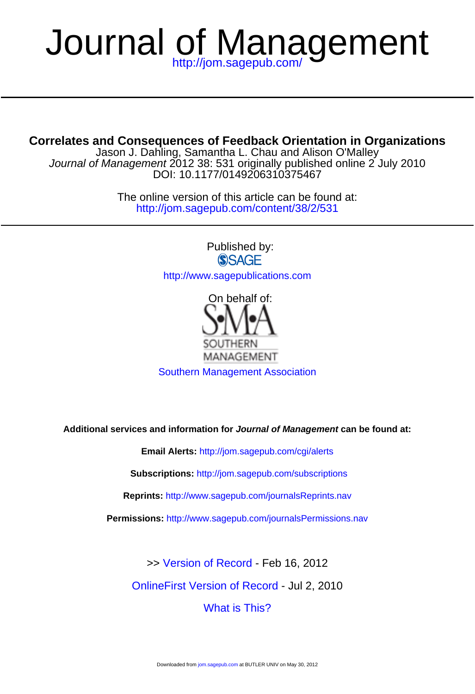# Journal of Management

DOI: 10.1177/0149206310375467 Journal of Management 2012 38: 531 originally published online 2 July 2010 Jason J. Dahling, Samantha L. Chau and Alison O'Malley **Correlates and Consequences of Feedback Orientation in Organizations**

> <http://jom.sagepub.com/content/38/2/531> The online version of this article can be found at:

> > Published by:<br>
> > SAGE <http://www.sagepublications.com> On behalf of:

[Southern Management Association](http://www.southernmanagement.org/)

MANAGEMENT

**Additional services and information for Journal of Management can be found at:**

**Email Alerts:** <http://jom.sagepub.com/cgi/alerts>

**Subscriptions:** <http://jom.sagepub.com/subscriptions>

**Reprints:** <http://www.sagepub.com/journalsReprints.nav>

**Permissions:** <http://www.sagepub.com/journalsPermissions.nav>

>> [Version of Record -](http://jom.sagepub.com/content/38/2/531.full.pdf) Feb 16, 2012

[OnlineFirst Version of Record](http://jom.sagepub.com/content/early/2010/07/01/0149206310375467.full.pdf) - Jul 2, 2010

[What is This?](http://online.sagepub.com/site/sphelp/vorhelp.xhtml)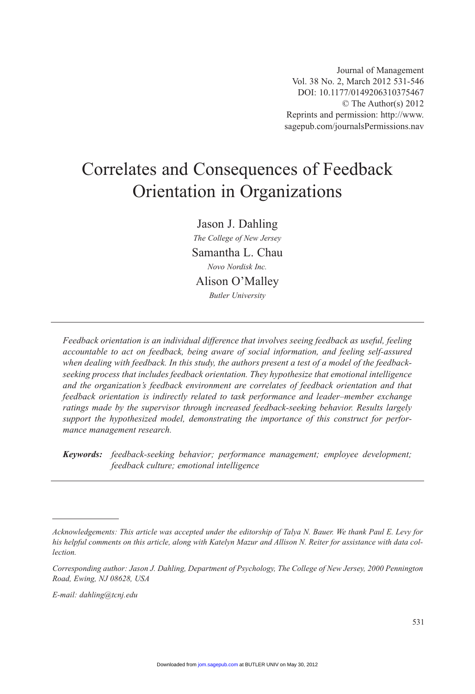Journal of Management Vol. 38 No. 2, March 2012 531-546 DOI: 10.1177/0149206310375467 © The Author(s) 2012 Reprints and permission: http://www. sagepub.com/journalsPermissions.nav

# Correlates and Consequences of Feedback Orientation in Organizations

Jason J. Dahling *The College of New Jersey* Samantha L. Chau *Novo Nordisk Inc.* Alison O'Malley *Butler University*

*Feedback orientation is an individual difference that involves seeing feedback as useful, feeling accountable to act on feedback, being aware of social information, and feeling self-assured when dealing with feedback. In this study, the authors present a test of a model of the feedbackseeking process that includes feedback orientation. They hypothesize that emotional intelligence and the organization's feedback environment are correlates of feedback orientation and that feedback orientation is indirectly related to task performance and leader–member exchange ratings made by the supervisor through increased feedback-seeking behavior. Results largely support the hypothesized model, demonstrating the importance of this construct for performance management research.*

*Keywords: feedback-seeking behavior; performance management; employee development; feedback culture; emotional intelligence*

*E-mail: dahling@tcnj.edu*

*Acknowledgements: This article was accepted under the editorship of Talya N. Bauer. We thank Paul E. Levy for his helpful comments on this article, along with Katelyn Mazur and Allison N. Reiter for assistance with data collection.*

*Corresponding author: Jason J. Dahling, Department of Psychology, The College of New Jersey, 2000 Pennington Road, Ewing, NJ 08628, USA*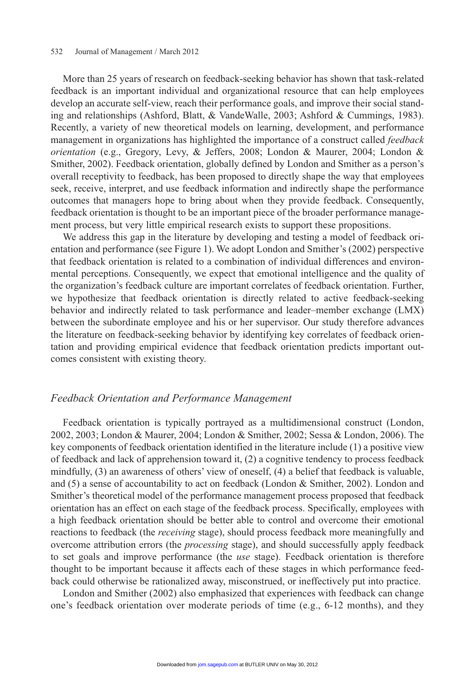More than 25 years of research on feedback-seeking behavior has shown that task-related feedback is an important individual and organizational resource that can help employees develop an accurate self-view, reach their performance goals, and improve their social standing and relationships (Ashford, Blatt, & VandeWalle, 2003; Ashford & Cummings, 1983). Recently, a variety of new theoretical models on learning, development, and performance management in organizations has highlighted the importance of a construct called *feedback orientation* (e.g., Gregory, Levy, & Jeffers, 2008; London & Maurer, 2004; London & Smither, 2002). Feedback orientation, globally defined by London and Smither as a person's overall receptivity to feedback, has been proposed to directly shape the way that employees seek, receive, interpret, and use feedback information and indirectly shape the performance outcomes that managers hope to bring about when they provide feedback. Consequently, feedback orientation is thought to be an important piece of the broader performance management process, but very little empirical research exists to support these propositions.

We address this gap in the literature by developing and testing a model of feedback orientation and performance (see Figure 1). We adopt London and Smither's (2002) perspective that feedback orientation is related to a combination of individual differences and environmental perceptions. Consequently, we expect that emotional intelligence and the quality of the organization's feedback culture are important correlates of feedback orientation. Further, we hypothesize that feedback orientation is directly related to active feedback-seeking behavior and indirectly related to task performance and leader–member exchange (LMX) between the subordinate employee and his or her supervisor. Our study therefore advances the literature on feedback-seeking behavior by identifying key correlates of feedback orientation and providing empirical evidence that feedback orientation predicts important outcomes consistent with existing theory.

# *Feedback Orientation and Performance Management*

Feedback orientation is typically portrayed as a multidimensional construct (London, 2002, 2003; London & Maurer, 2004; London & Smither, 2002; Sessa & London, 2006). The key components of feedback orientation identified in the literature include (1) a positive view of feedback and lack of apprehension toward it, (2) a cognitive tendency to process feedback mindfully, (3) an awareness of others' view of oneself, (4) a belief that feedback is valuable, and (5) a sense of accountability to act on feedback (London & Smither, 2002). London and Smither's theoretical model of the performance management process proposed that feedback orientation has an effect on each stage of the feedback process. Specifically, employees with a high feedback orientation should be better able to control and overcome their emotional reactions to feedback (the *receiving* stage), should process feedback more meaningfully and overcome attribution errors (the *processing* stage), and should successfully apply feedback to set goals and improve performance (the *use* stage). Feedback orientation is therefore thought to be important because it affects each of these stages in which performance feedback could otherwise be rationalized away, misconstrued, or ineffectively put into practice.

London and Smither (2002) also emphasized that experiences with feedback can change one's feedback orientation over moderate periods of time (e.g., 6-12 months), and they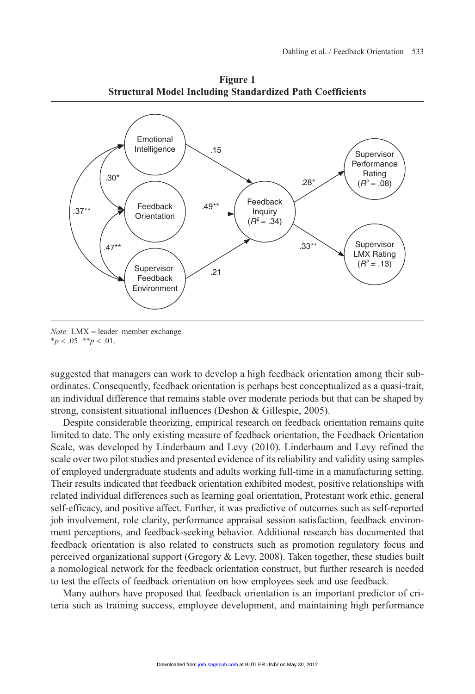

**Figure 1 Structural Model Including Standardized Path Coefficients**

suggested that managers can work to develop a high feedback orientation among their subordinates. Consequently, feedback orientation is perhaps best conceptualized as a quasi-trait, an individual difference that remains stable over moderate periods but that can be shaped by strong, consistent situational influences (Deshon & Gillespie, 2005).

Despite considerable theorizing, empirical research on feedback orientation remains quite limited to date. The only existing measure of feedback orientation, the Feedback Orientation Scale, was developed by Linderbaum and Levy (2010). Linderbaum and Levy refined the scale over two pilot studies and presented evidence of its reliability and validity using samples of employed undergraduate students and adults working full-time in a manufacturing setting. Their results indicated that feedback orientation exhibited modest, positive relationships with related individual differences such as learning goal orientation, Protestant work ethic, general self-efficacy, and positive affect. Further, it was predictive of outcomes such as self-reported job involvement, role clarity, performance appraisal session satisfaction, feedback environment perceptions, and feedback-seeking behavior. Additional research has documented that feedback orientation is also related to constructs such as promotion regulatory focus and perceived organizational support (Gregory & Levy, 2008). Taken together, these studies built a nomological network for the feedback orientation construct, but further research is needed to test the effects of feedback orientation on how employees seek and use feedback.

Many authors have proposed that feedback orientation is an important predictor of criteria such as training success, employee development, and maintaining high performance

*Note:* LMX = leader–member exchange.  $*_{p}$  < .05.  $*_{p}$  < .01.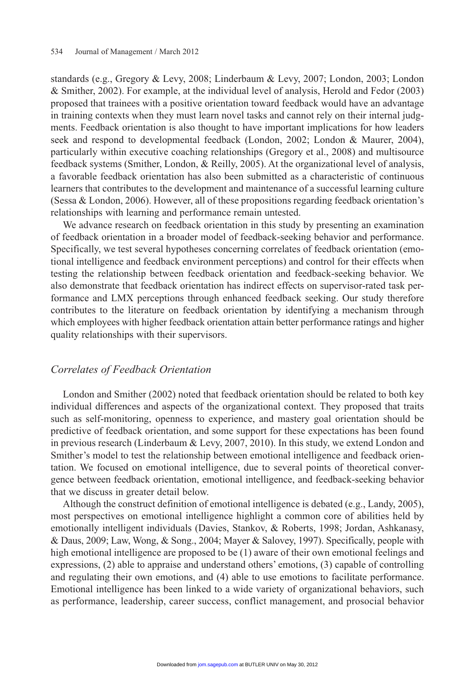standards (e.g., Gregory & Levy, 2008; Linderbaum & Levy, 2007; London, 2003; London & Smither, 2002). For example, at the individual level of analysis, Herold and Fedor (2003) proposed that trainees with a positive orientation toward feedback would have an advantage in training contexts when they must learn novel tasks and cannot rely on their internal judgments. Feedback orientation is also thought to have important implications for how leaders seek and respond to developmental feedback (London, 2002; London & Maurer, 2004), particularly within executive coaching relationships (Gregory et al., 2008) and multisource feedback systems (Smither, London, & Reilly, 2005). At the organizational level of analysis, a favorable feedback orientation has also been submitted as a characteristic of continuous learners that contributes to the development and maintenance of a successful learning culture (Sessa & London, 2006). However, all of these propositions regarding feedback orientation's relationships with learning and performance remain untested.

We advance research on feedback orientation in this study by presenting an examination of feedback orientation in a broader model of feedback-seeking behavior and performance. Specifically, we test several hypotheses concerning correlates of feedback orientation (emotional intelligence and feedback environment perceptions) and control for their effects when testing the relationship between feedback orientation and feedback-seeking behavior. We also demonstrate that feedback orientation has indirect effects on supervisor-rated task performance and LMX perceptions through enhanced feedback seeking. Our study therefore contributes to the literature on feedback orientation by identifying a mechanism through which employees with higher feedback orientation attain better performance ratings and higher quality relationships with their supervisors.

#### *Correlates of Feedback Orientation*

London and Smither (2002) noted that feedback orientation should be related to both key individual differences and aspects of the organizational context. They proposed that traits such as self-monitoring, openness to experience, and mastery goal orientation should be predictive of feedback orientation, and some support for these expectations has been found in previous research (Linderbaum & Levy, 2007, 2010). In this study, we extend London and Smither's model to test the relationship between emotional intelligence and feedback orientation. We focused on emotional intelligence, due to several points of theoretical convergence between feedback orientation, emotional intelligence, and feedback-seeking behavior that we discuss in greater detail below.

Although the construct definition of emotional intelligence is debated (e.g., Landy, 2005), most perspectives on emotional intelligence highlight a common core of abilities held by emotionally intelligent individuals (Davies, Stankov, & Roberts, 1998; Jordan, Ashkanasy, & Daus, 2009; Law, Wong, & Song., 2004; Mayer & Salovey, 1997). Specifically, people with high emotional intelligence are proposed to be (1) aware of their own emotional feelings and expressions, (2) able to appraise and understand others' emotions, (3) capable of controlling and regulating their own emotions, and (4) able to use emotions to facilitate performance. Emotional intelligence has been linked to a wide variety of organizational behaviors, such as performance, leadership, career success, conflict management, and prosocial behavior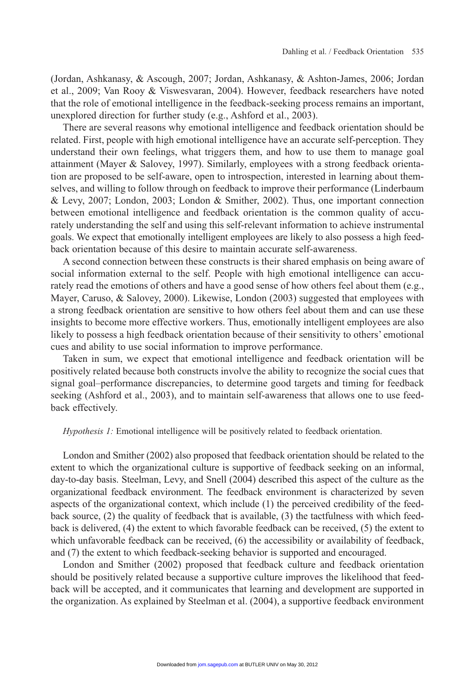(Jordan, Ashkanasy, & Ascough, 2007; Jordan, Ashkanasy, & Ashton-James, 2006; Jordan et al., 2009; Van Rooy & Viswesvaran, 2004). However, feedback researchers have noted that the role of emotional intelligence in the feedback-seeking process remains an important, unexplored direction for further study (e.g., Ashford et al., 2003).

There are several reasons why emotional intelligence and feedback orientation should be related. First, people with high emotional intelligence have an accurate self-perception. They understand their own feelings, what triggers them, and how to use them to manage goal attainment (Mayer & Salovey, 1997). Similarly, employees with a strong feedback orientation are proposed to be self-aware, open to introspection, interested in learning about themselves, and willing to follow through on feedback to improve their performance (Linderbaum & Levy, 2007; London, 2003; London & Smither, 2002). Thus, one important connection between emotional intelligence and feedback orientation is the common quality of accurately understanding the self and using this self-relevant information to achieve instrumental goals. We expect that emotionally intelligent employees are likely to also possess a high feedback orientation because of this desire to maintain accurate self-awareness.

A second connection between these constructs is their shared emphasis on being aware of social information external to the self. People with high emotional intelligence can accurately read the emotions of others and have a good sense of how others feel about them (e.g., Mayer, Caruso, & Salovey, 2000). Likewise, London (2003) suggested that employees with a strong feedback orientation are sensitive to how others feel about them and can use these insights to become more effective workers. Thus, emotionally intelligent employees are also likely to possess a high feedback orientation because of their sensitivity to others' emotional cues and ability to use social information to improve performance.

Taken in sum, we expect that emotional intelligence and feedback orientation will be positively related because both constructs involve the ability to recognize the social cues that signal goal–performance discrepancies, to determine good targets and timing for feedback seeking (Ashford et al., 2003), and to maintain self-awareness that allows one to use feedback effectively.

#### *Hypothesis 1:* Emotional intelligence will be positively related to feedback orientation.

London and Smither (2002) also proposed that feedback orientation should be related to the extent to which the organizational culture is supportive of feedback seeking on an informal, day-to-day basis. Steelman, Levy, and Snell (2004) described this aspect of the culture as the organizational feedback environment. The feedback environment is characterized by seven aspects of the organizational context, which include (1) the perceived credibility of the feedback source, (2) the quality of feedback that is available, (3) the tactfulness with which feedback is delivered, (4) the extent to which favorable feedback can be received, (5) the extent to which unfavorable feedback can be received, (6) the accessibility or availability of feedback, and (7) the extent to which feedback-seeking behavior is supported and encouraged.

London and Smither (2002) proposed that feedback culture and feedback orientation should be positively related because a supportive culture improves the likelihood that feedback will be accepted, and it communicates that learning and development are supported in the organization. As explained by Steelman et al. (2004), a supportive feedback environment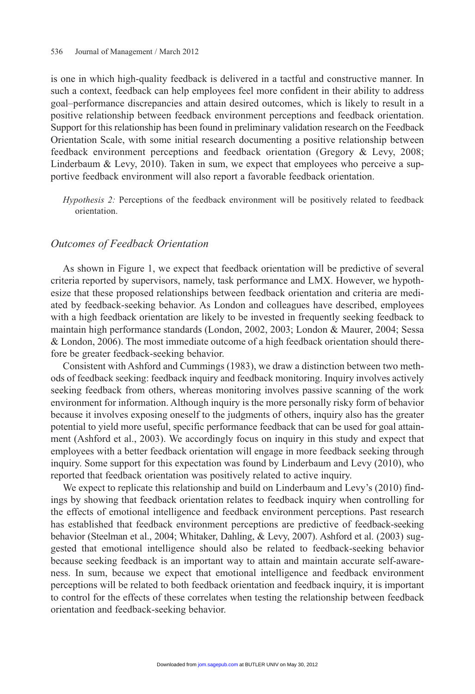is one in which high-quality feedback is delivered in a tactful and constructive manner. In such a context, feedback can help employees feel more confident in their ability to address goal–performance discrepancies and attain desired outcomes, which is likely to result in a positive relationship between feedback environment perceptions and feedback orientation. Support for this relationship has been found in preliminary validation research on the Feedback Orientation Scale, with some initial research documenting a positive relationship between feedback environment perceptions and feedback orientation (Gregory & Levy, 2008; Linderbaum & Levy, 2010). Taken in sum, we expect that employees who perceive a supportive feedback environment will also report a favorable feedback orientation.

*Hypothesis 2:* Perceptions of the feedback environment will be positively related to feedback orientation.

# *Outcomes of Feedback Orientation*

As shown in Figure 1, we expect that feedback orientation will be predictive of several criteria reported by supervisors, namely, task performance and LMX. However, we hypothesize that these proposed relationships between feedback orientation and criteria are mediated by feedback-seeking behavior. As London and colleagues have described, employees with a high feedback orientation are likely to be invested in frequently seeking feedback to maintain high performance standards (London, 2002, 2003; London & Maurer, 2004; Sessa & London, 2006). The most immediate outcome of a high feedback orientation should therefore be greater feedback-seeking behavior.

Consistent with Ashford and Cummings (1983), we draw a distinction between two methods of feedback seeking: feedback inquiry and feedback monitoring. Inquiry involves actively seeking feedback from others, whereas monitoring involves passive scanning of the work environment for information. Although inquiry is the more personally risky form of behavior because it involves exposing oneself to the judgments of others, inquiry also has the greater potential to yield more useful, specific performance feedback that can be used for goal attainment (Ashford et al., 2003). We accordingly focus on inquiry in this study and expect that employees with a better feedback orientation will engage in more feedback seeking through inquiry. Some support for this expectation was found by Linderbaum and Levy (2010), who reported that feedback orientation was positively related to active inquiry.

We expect to replicate this relationship and build on Linderbaum and Levy's (2010) findings by showing that feedback orientation relates to feedback inquiry when controlling for the effects of emotional intelligence and feedback environment perceptions. Past research has established that feedback environment perceptions are predictive of feedback-seeking behavior (Steelman et al., 2004; Whitaker, Dahling, & Levy, 2007). Ashford et al. (2003) suggested that emotional intelligence should also be related to feedback-seeking behavior because seeking feedback is an important way to attain and maintain accurate self-awareness. In sum, because we expect that emotional intelligence and feedback environment perceptions will be related to both feedback orientation and feedback inquiry, it is important to control for the effects of these correlates when testing the relationship between feedback orientation and feedback-seeking behavior.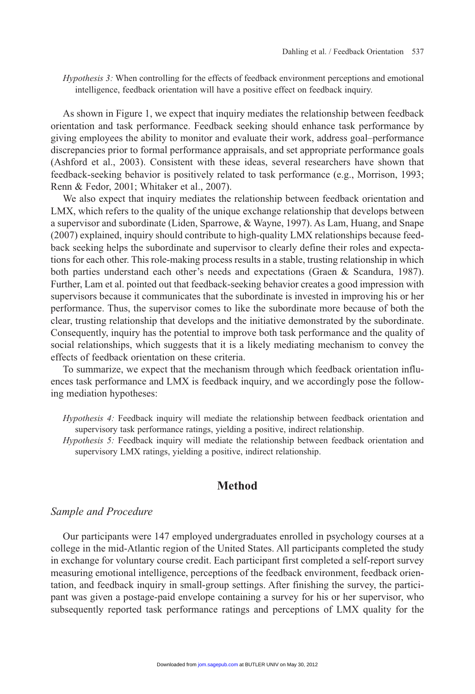*Hypothesis 3:* When controlling for the effects of feedback environment perceptions and emotional intelligence, feedback orientation will have a positive effect on feedback inquiry.

As shown in Figure 1, we expect that inquiry mediates the relationship between feedback orientation and task performance. Feedback seeking should enhance task performance by giving employees the ability to monitor and evaluate their work, address goal–performance discrepancies prior to formal performance appraisals, and set appropriate performance goals (Ashford et al., 2003). Consistent with these ideas, several researchers have shown that feedback-seeking behavior is positively related to task performance (e.g., Morrison, 1993; Renn & Fedor, 2001; Whitaker et al., 2007).

We also expect that inquiry mediates the relationship between feedback orientation and LMX, which refers to the quality of the unique exchange relationship that develops between a supervisor and subordinate (Liden, Sparrowe, & Wayne, 1997). As Lam, Huang, and Snape (2007) explained, inquiry should contribute to high-quality LMX relationships because feedback seeking helps the subordinate and supervisor to clearly define their roles and expectations for each other. This role-making process results in a stable, trusting relationship in which both parties understand each other's needs and expectations (Graen & Scandura, 1987). Further, Lam et al. pointed out that feedback-seeking behavior creates a good impression with supervisors because it communicates that the subordinate is invested in improving his or her performance. Thus, the supervisor comes to like the subordinate more because of both the clear, trusting relationship that develops and the initiative demonstrated by the subordinate. Consequently, inquiry has the potential to improve both task performance and the quality of social relationships, which suggests that it is a likely mediating mechanism to convey the effects of feedback orientation on these criteria.

To summarize, we expect that the mechanism through which feedback orientation influences task performance and LMX is feedback inquiry, and we accordingly pose the following mediation hypotheses:

*Hypothesis 4:* Feedback inquiry will mediate the relationship between feedback orientation and supervisory task performance ratings, yielding a positive, indirect relationship.

*Hypothesis 5:* Feedback inquiry will mediate the relationship between feedback orientation and supervisory LMX ratings, yielding a positive, indirect relationship.

# **Method**

# *Sample and Procedure*

Our participants were 147 employed undergraduates enrolled in psychology courses at a college in the mid-Atlantic region of the United States. All participants completed the study in exchange for voluntary course credit. Each participant first completed a self-report survey measuring emotional intelligence, perceptions of the feedback environment, feedback orientation, and feedback inquiry in small-group settings. After finishing the survey, the participant was given a postage-paid envelope containing a survey for his or her supervisor, who subsequently reported task performance ratings and perceptions of LMX quality for the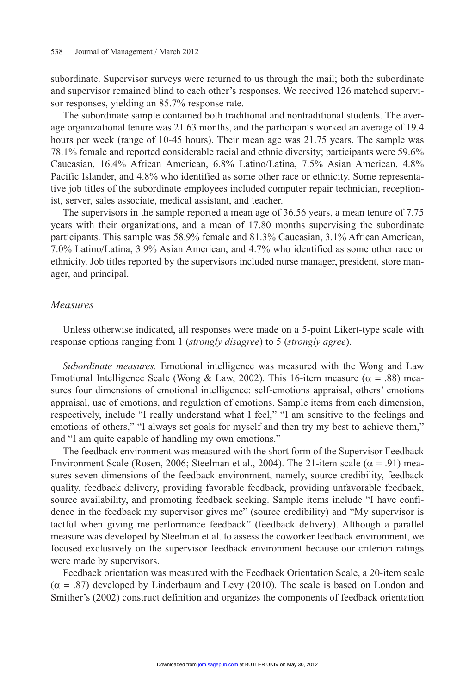subordinate. Supervisor surveys were returned to us through the mail; both the subordinate and supervisor remained blind to each other's responses. We received 126 matched supervisor responses, yielding an 85.7% response rate.

The subordinate sample contained both traditional and nontraditional students. The average organizational tenure was 21.63 months, and the participants worked an average of 19.4 hours per week (range of 10-45 hours). Their mean age was 21.75 years. The sample was 78.1% female and reported considerable racial and ethnic diversity; participants were 59.6% Caucasian, 16.4% African American, 6.8% Latino/Latina, 7.5% Asian American, 4.8% Pacific Islander, and 4.8% who identified as some other race or ethnicity. Some representative job titles of the subordinate employees included computer repair technician, receptionist, server, sales associate, medical assistant, and teacher.

The supervisors in the sample reported a mean age of 36.56 years, a mean tenure of 7.75 years with their organizations, and a mean of 17.80 months supervising the subordinate participants. This sample was 58.9% female and 81.3% Caucasian, 3.1% African American, 7.0% Latino/Latina, 3.9% Asian American, and 4.7% who identified as some other race or ethnicity. Job titles reported by the supervisors included nurse manager, president, store manager, and principal.

# *Measures*

Unless otherwise indicated, all responses were made on a 5-point Likert-type scale with response options ranging from 1 (*strongly disagree*) to 5 (*strongly agree*).

*Subordinate measures.* Emotional intelligence was measured with the Wong and Law Emotional Intelligence Scale (Wong & Law, 2002). This 16-item measure ( $\alpha = .88$ ) measures four dimensions of emotional intelligence: self-emotions appraisal, others' emotions appraisal, use of emotions, and regulation of emotions. Sample items from each dimension, respectively, include "I really understand what I feel," "I am sensitive to the feelings and emotions of others," "I always set goals for myself and then try my best to achieve them," and "I am quite capable of handling my own emotions."

The feedback environment was measured with the short form of the Supervisor Feedback Environment Scale (Rosen, 2006; Steelman et al., 2004). The 21-item scale ( $\alpha$  = .91) measures seven dimensions of the feedback environment, namely, source credibility, feedback quality, feedback delivery, providing favorable feedback, providing unfavorable feedback, source availability, and promoting feedback seeking. Sample items include "I have confidence in the feedback my supervisor gives me" (source credibility) and "My supervisor is tactful when giving me performance feedback" (feedback delivery). Although a parallel measure was developed by Steelman et al. to assess the coworker feedback environment, we focused exclusively on the supervisor feedback environment because our criterion ratings were made by supervisors.

Feedback orientation was measured with the Feedback Orientation Scale, a 20-item scale  $(\alpha = .87)$  developed by Linderbaum and Levy (2010). The scale is based on London and Smither's (2002) construct definition and organizes the components of feedback orientation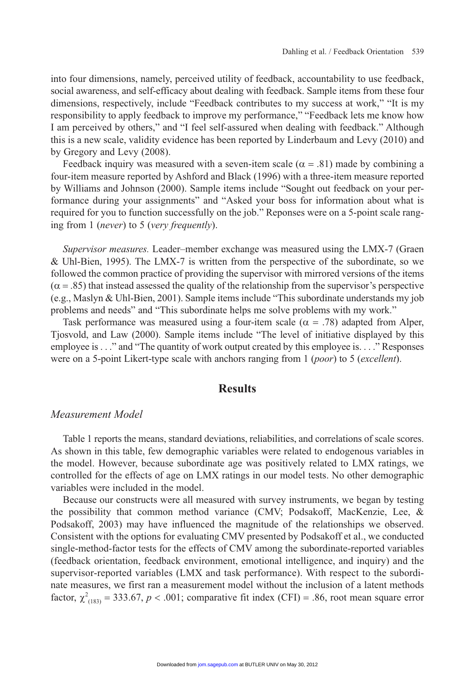into four dimensions, namely, perceived utility of feedback, accountability to use feedback, social awareness, and self-efficacy about dealing with feedback. Sample items from these four dimensions, respectively, include "Feedback contributes to my success at work," "It is my responsibility to apply feedback to improve my performance," "Feedback lets me know how I am perceived by others," and "I feel self-assured when dealing with feedback." Although this is a new scale, validity evidence has been reported by Linderbaum and Levy (2010) and by Gregory and Levy (2008).

Feedback inquiry was measured with a seven-item scale ( $\alpha = .81$ ) made by combining a four-item measure reported by Ashford and Black (1996) with a three-item measure reported by Williams and Johnson (2000). Sample items include "Sought out feedback on your performance during your assignments" and "Asked your boss for information about what is required for you to function successfully on the job." Reponses were on a 5-point scale ranging from 1 (*never*) to 5 (*very frequently*).

*Supervisor measures.* Leader–member exchange was measured using the LMX-7 (Graen & Uhl-Bien, 1995). The LMX-7 is written from the perspective of the subordinate, so we followed the common practice of providing the supervisor with mirrored versions of the items  $(\alpha = .85)$  that instead assessed the quality of the relationship from the supervisor's perspective (e.g., Maslyn & Uhl-Bien, 2001). Sample items include "This subordinate understands my job problems and needs" and "This subordinate helps me solve problems with my work."

Task performance was measured using a four-item scale ( $\alpha = .78$ ) adapted from Alper, Tjosvold, and Law (2000). Sample items include "The level of initiative displayed by this employee is . . ." and "The quantity of work output created by this employee is. . . ." Responses were on a 5-point Likert-type scale with anchors ranging from 1 (*poor*) to 5 (*excellent*).

# **Results**

# *Measurement Model*

Table 1 reports the means, standard deviations, reliabilities, and correlations of scale scores. As shown in this table, few demographic variables were related to endogenous variables in the model. However, because subordinate age was positively related to LMX ratings, we controlled for the effects of age on LMX ratings in our model tests. No other demographic variables were included in the model.

Because our constructs were all measured with survey instruments, we began by testing the possibility that common method variance (CMV; Podsakoff, MacKenzie, Lee, & Podsakoff, 2003) may have influenced the magnitude of the relationships we observed. Consistent with the options for evaluating CMV presented by Podsakoff et al., we conducted single-method-factor tests for the effects of CMV among the subordinate-reported variables (feedback orientation, feedback environment, emotional intelligence, and inquiry) and the supervisor-reported variables (LMX and task performance). With respect to the subordinate measures, we first ran a measurement model without the inclusion of a latent methods factor,  $\chi^2_{(183)} = 333.67$ ,  $p < .001$ ; comparative fit index (CFI) = .86, root mean square error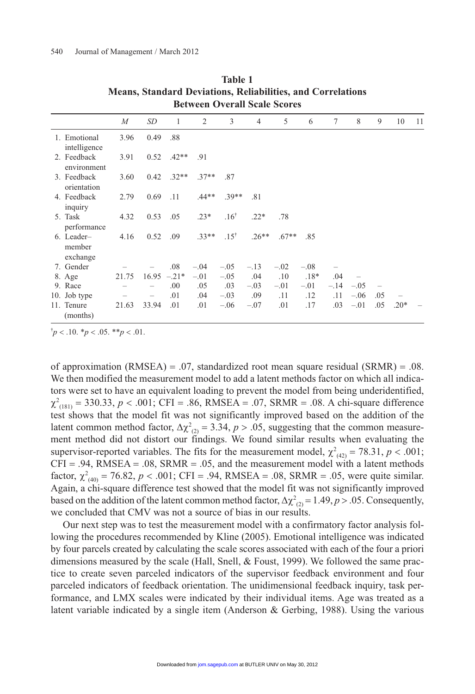| Between Overall Scale Scores     |                  |                          |              |         |                 |         |         |        |        |        |                          |        |    |
|----------------------------------|------------------|--------------------------|--------------|---------|-----------------|---------|---------|--------|--------|--------|--------------------------|--------|----|
|                                  | $\boldsymbol{M}$ | SD                       | 1            | 2       | 3               | 4       | 5       | 6      | 7      | 8      | 9                        | 10     | 11 |
| 1. Emotional<br>intelligence     | 3.96             | 0.49                     | .88          |         |                 |         |         |        |        |        |                          |        |    |
| 2. Feedback<br>environment       | 3.91             | 0.52                     | $.42**$      | .91     |                 |         |         |        |        |        |                          |        |    |
| 3. Feedback<br>orientation       | 3.60             |                          | $0.42$ .32** | $.37**$ | .87             |         |         |        |        |        |                          |        |    |
| 4. Feedback<br>inquiry           | 2.79             | 0.69                     | .11          | $.44**$ | $.39**$         | .81     |         |        |        |        |                          |        |    |
| 5. Task<br>performance           | 4.32             | 0.53                     | .05          | $.23*$  | $.16^{\dagger}$ | $.22*$  | .78     |        |        |        |                          |        |    |
| 6. Leader-<br>member<br>exchange | 4.16             | 0.52                     | .09          | $.33**$ | $.15^{\dagger}$ | $.26**$ | $.67**$ | .85    |        |        |                          |        |    |
| 7. Gender                        |                  |                          | .08          | $-.04$  | $-.05$          | $-.13$  | $-.02$  | $-.08$ |        |        |                          |        |    |
| 8. Age                           | 21.75            | $16.95 - 21*$            |              | $-.01$  | $-.05$          | .04     | .10     | $.18*$ | .04    |        |                          |        |    |
| 9. Race                          |                  |                          | .00          | .05     | .03             | $-.03$  | $-.01$  | $-.01$ | $-.14$ | $-.05$ | $\overline{\phantom{0}}$ |        |    |
| 10. Job type                     |                  | $\overline{\phantom{0}}$ | .01          | .04     | $-.03$          | .09     | .11     | .12    | .11    | $-.06$ | .05                      |        |    |
| 11. Tenure<br>(months)           | 21.63            | 33.94                    | .01          | .01     | $-.06$          | $-.07$  | .01     | .17    | .03    | $-.01$ | .05                      | $.20*$ |    |

| Table 1                                                            |
|--------------------------------------------------------------------|
| <b>Means, Standard Deviations, Reliabilities, and Correlations</b> |
| <b>Between Overall Scale Scores</b>                                |

 $\phi_p$  < .10.  $\phi_p$  < .05. \*\**p* < .01.

of approximation  $(RMSEA) = .07$ , standardized root mean square residual  $(SRMR) = .08$ . We then modified the measurement model to add a latent methods factor on which all indicators were set to have an equivalent loading to prevent the model from being underidentified,  $\chi^2_{(181)} = 330.33, p < .001$ ; CFI = .86, RMSEA = .07, SRMR = .08. A chi-square difference test shows that the model fit was not significantly improved based on the addition of the latent common method factor,  $\Delta \chi^2_{(2)} = 3.34$ ,  $p > .05$ , suggesting that the common measurement method did not distort our findings. We found similar results when evaluating the supervisor-reported variables. The fits for the measurement model,  $\chi^2_{(42)} = 78.31$ ,  $p < .001$ ;  $CFI = .94$ , RMSEA = .08, SRMR = .05, and the measurement model with a latent methods factor,  $\chi^2_{(40)} = 76.82$ ,  $p < .001$ ; CFI = .94, RMSEA = .08, SRMR = .05, were quite similar. Again, a chi-square difference test showed that the model fit was not significantly improved based on the addition of the latent common method factor,  $\Delta \chi^2_{(2)} = 1.49$ ,  $p > .05$ . Consequently, we concluded that CMV was not a source of bias in our results.

Our next step was to test the measurement model with a confirmatory factor analysis following the procedures recommended by Kline (2005). Emotional intelligence was indicated by four parcels created by calculating the scale scores associated with each of the four a priori dimensions measured by the scale (Hall, Snell, & Foust, 1999). We followed the same practice to create seven parceled indicators of the supervisor feedback environment and four parceled indicators of feedback orientation. The unidimensional feedback inquiry, task performance, and LMX scales were indicated by their individual items. Age was treated as a latent variable indicated by a single item (Anderson & Gerbing, 1988). Using the various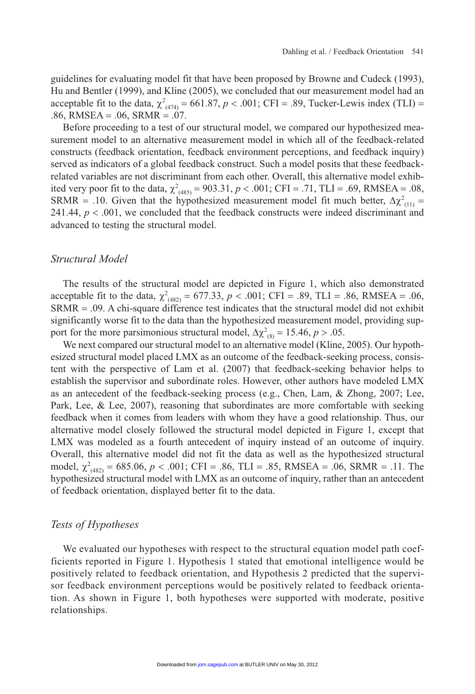guidelines for evaluating model fit that have been proposed by Browne and Cudeck (1993), Hu and Bentler (1999), and Kline (2005), we concluded that our measurement model had an acceptable fit to the data,  $\chi^2_{(474)} = 661.87, p < .001$ ; CFI = .89, Tucker-Lewis index (TLI) = .86, RMSEA = .06, SRMR = .07.

Before proceeding to a test of our structural model, we compared our hypothesized measurement model to an alternative measurement model in which all of the feedback-related constructs (feedback orientation, feedback environment perceptions, and feedback inquiry) served as indicators of a global feedback construct. Such a model posits that these feedbackrelated variables are not discriminant from each other. Overall, this alternative model exhibited very poor fit to the data,  $\chi^2_{(485)} = 903.31, p < .001$ ; CFI = .71, TLI = .69, RMSEA = .08, SRMR = .10. Given that the hypothesized measurement model fit much better,  $\Delta \chi^2_{(11)}$  = 241.44,  $p < 0.001$ , we concluded that the feedback constructs were indeed discriminant and advanced to testing the structural model.

# *Structural Model*

The results of the structural model are depicted in Figure 1, which also demonstrated acceptable fit to the data,  $\chi^2_{(482)} = 677.33$ ,  $p < .001$ ; CFI = .89, TLI = .86, RMSEA = .06, SRMR = .09. A chi-square difference test indicates that the structural model did not exhibit significantly worse fit to the data than the hypothesized measurement model, providing support for the more parsimonious structural model,  $\Delta \chi^2_{(8)} = 15.46, p > .05$ .

We next compared our structural model to an alternative model (Kline, 2005). Our hypothesized structural model placed LMX as an outcome of the feedback-seeking process, consistent with the perspective of Lam et al. (2007) that feedback-seeking behavior helps to establish the supervisor and subordinate roles. However, other authors have modeled LMX as an antecedent of the feedback-seeking process (e.g., Chen, Lam, & Zhong, 2007; Lee, Park, Lee, & Lee, 2007), reasoning that subordinates are more comfortable with seeking feedback when it comes from leaders with whom they have a good relationship. Thus, our alternative model closely followed the structural model depicted in Figure 1, except that LMX was modeled as a fourth antecedent of inquiry instead of an outcome of inquiry. Overall, this alternative model did not fit the data as well as the hypothesized structural model,  $\chi^2_{(482)} = 685.06, p < .001$ ; CFI = .86, TLI = .85, RMSEA = .06, SRMR = .11. The hypothesized structural model with LMX as an outcome of inquiry, rather than an antecedent of feedback orientation, displayed better fit to the data.

# *Tests of Hypotheses*

We evaluated our hypotheses with respect to the structural equation model path coefficients reported in Figure 1. Hypothesis 1 stated that emotional intelligence would be positively related to feedback orientation, and Hypothesis 2 predicted that the supervisor feedback environment perceptions would be positively related to feedback orientation. As shown in Figure 1, both hypotheses were supported with moderate, positive relationships.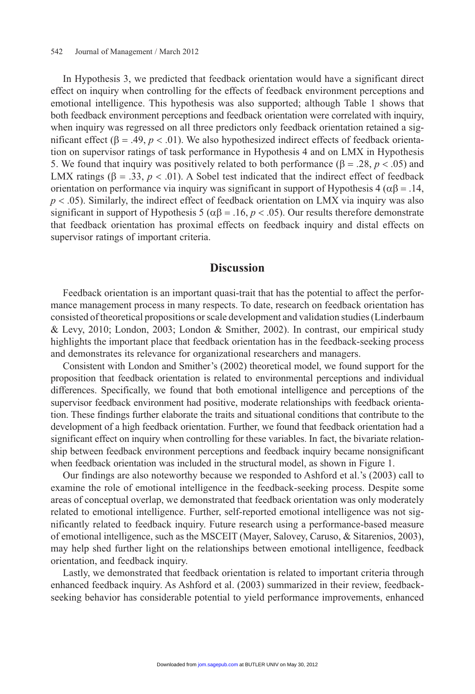In Hypothesis 3, we predicted that feedback orientation would have a significant direct effect on inquiry when controlling for the effects of feedback environment perceptions and emotional intelligence. This hypothesis was also supported; although Table 1 shows that both feedback environment perceptions and feedback orientation were correlated with inquiry, when inquiry was regressed on all three predictors only feedback orientation retained a significant effect ( $\beta = .49$ ,  $p < .01$ ). We also hypothesized indirect effects of feedback orientation on supervisor ratings of task performance in Hypothesis 4 and on LMX in Hypothesis 5. We found that inquiry was positively related to both performance  $(\beta = .28, p < .05)$  and LMX ratings ( $\beta = .33$ ,  $p < .01$ ). A Sobel test indicated that the indirect effect of feedback orientation on performance via inquiry was significant in support of Hypothesis 4 ( $\alpha\beta$  = .14, *p* < .05). Similarly, the indirect effect of feedback orientation on LMX via inquiry was also significant in support of Hypothesis 5 ( $\alpha\beta$  = .16, *p* < .05). Our results therefore demonstrate that feedback orientation has proximal effects on feedback inquiry and distal effects on supervisor ratings of important criteria.

# **Discussion**

Feedback orientation is an important quasi-trait that has the potential to affect the performance management process in many respects. To date, research on feedback orientation has consisted of theoretical propositions or scale development and validation studies (Linderbaum & Levy, 2010; London, 2003; London & Smither, 2002). In contrast, our empirical study highlights the important place that feedback orientation has in the feedback-seeking process and demonstrates its relevance for organizational researchers and managers.

Consistent with London and Smither's (2002) theoretical model, we found support for the proposition that feedback orientation is related to environmental perceptions and individual differences. Specifically, we found that both emotional intelligence and perceptions of the supervisor feedback environment had positive, moderate relationships with feedback orientation. These findings further elaborate the traits and situational conditions that contribute to the development of a high feedback orientation. Further, we found that feedback orientation had a significant effect on inquiry when controlling for these variables. In fact, the bivariate relationship between feedback environment perceptions and feedback inquiry became nonsignificant when feedback orientation was included in the structural model, as shown in Figure 1.

Our findings are also noteworthy because we responded to Ashford et al.'s (2003) call to examine the role of emotional intelligence in the feedback-seeking process. Despite some areas of conceptual overlap, we demonstrated that feedback orientation was only moderately related to emotional intelligence. Further, self-reported emotional intelligence was not significantly related to feedback inquiry. Future research using a performance-based measure of emotional intelligence, such as the MSCEIT (Mayer, Salovey, Caruso, & Sitarenios, 2003), may help shed further light on the relationships between emotional intelligence, feedback orientation, and feedback inquiry.

Lastly, we demonstrated that feedback orientation is related to important criteria through enhanced feedback inquiry. As Ashford et al. (2003) summarized in their review, feedbackseeking behavior has considerable potential to yield performance improvements, enhanced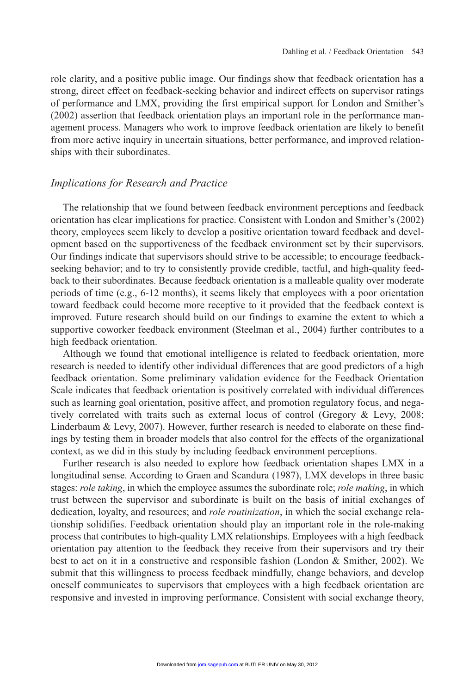role clarity, and a positive public image. Our findings show that feedback orientation has a strong, direct effect on feedback-seeking behavior and indirect effects on supervisor ratings of performance and LMX, providing the first empirical support for London and Smither's (2002) assertion that feedback orientation plays an important role in the performance management process. Managers who work to improve feedback orientation are likely to benefit from more active inquiry in uncertain situations, better performance, and improved relationships with their subordinates.

# *Implications for Research and Practice*

The relationship that we found between feedback environment perceptions and feedback orientation has clear implications for practice. Consistent with London and Smither's (2002) theory, employees seem likely to develop a positive orientation toward feedback and development based on the supportiveness of the feedback environment set by their supervisors. Our findings indicate that supervisors should strive to be accessible; to encourage feedbackseeking behavior; and to try to consistently provide credible, tactful, and high-quality feedback to their subordinates. Because feedback orientation is a malleable quality over moderate periods of time (e.g., 6-12 months), it seems likely that employees with a poor orientation toward feedback could become more receptive to it provided that the feedback context is improved. Future research should build on our findings to examine the extent to which a supportive coworker feedback environment (Steelman et al., 2004) further contributes to a high feedback orientation.

Although we found that emotional intelligence is related to feedback orientation, more research is needed to identify other individual differences that are good predictors of a high feedback orientation. Some preliminary validation evidence for the Feedback Orientation Scale indicates that feedback orientation is positively correlated with individual differences such as learning goal orientation, positive affect, and promotion regulatory focus, and negatively correlated with traits such as external locus of control (Gregory & Levy, 2008; Linderbaum & Levy, 2007). However, further research is needed to elaborate on these findings by testing them in broader models that also control for the effects of the organizational context, as we did in this study by including feedback environment perceptions.

Further research is also needed to explore how feedback orientation shapes LMX in a longitudinal sense. According to Graen and Scandura (1987), LMX develops in three basic stages: *role taking*, in which the employee assumes the subordinate role; *role making*, in which trust between the supervisor and subordinate is built on the basis of initial exchanges of dedication, loyalty, and resources; and *role routinization*, in which the social exchange relationship solidifies. Feedback orientation should play an important role in the role-making process that contributes to high-quality LMX relationships. Employees with a high feedback orientation pay attention to the feedback they receive from their supervisors and try their best to act on it in a constructive and responsible fashion (London & Smither, 2002). We submit that this willingness to process feedback mindfully, change behaviors, and develop oneself communicates to supervisors that employees with a high feedback orientation are responsive and invested in improving performance. Consistent with social exchange theory,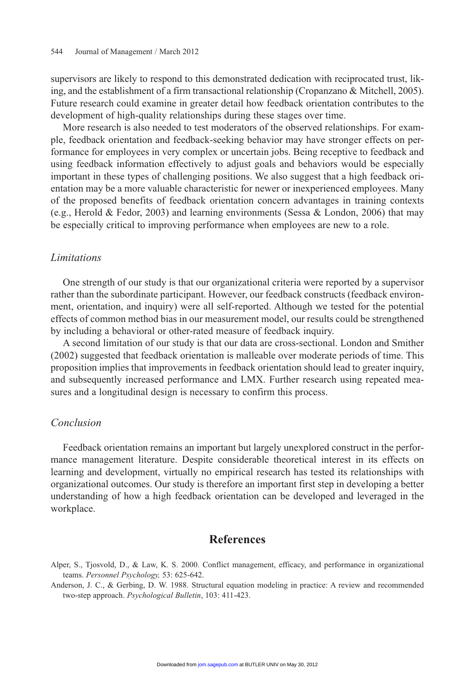supervisors are likely to respond to this demonstrated dedication with reciprocated trust, liking, and the establishment of a firm transactional relationship (Cropanzano & Mitchell, 2005). Future research could examine in greater detail how feedback orientation contributes to the development of high-quality relationships during these stages over time.

More research is also needed to test moderators of the observed relationships. For example, feedback orientation and feedback-seeking behavior may have stronger effects on performance for employees in very complex or uncertain jobs. Being receptive to feedback and using feedback information effectively to adjust goals and behaviors would be especially important in these types of challenging positions. We also suggest that a high feedback orientation may be a more valuable characteristic for newer or inexperienced employees. Many of the proposed benefits of feedback orientation concern advantages in training contexts (e.g., Herold & Fedor, 2003) and learning environments (Sessa & London, 2006) that may be especially critical to improving performance when employees are new to a role.

### *Limitations*

One strength of our study is that our organizational criteria were reported by a supervisor rather than the subordinate participant. However, our feedback constructs (feedback environment, orientation, and inquiry) were all self-reported. Although we tested for the potential effects of common method bias in our measurement model, our results could be strengthened by including a behavioral or other-rated measure of feedback inquiry.

A second limitation of our study is that our data are cross-sectional. London and Smither (2002) suggested that feedback orientation is malleable over moderate periods of time. This proposition implies that improvements in feedback orientation should lead to greater inquiry, and subsequently increased performance and LMX. Further research using repeated measures and a longitudinal design is necessary to confirm this process.

# *Conclusion*

Feedback orientation remains an important but largely unexplored construct in the performance management literature. Despite considerable theoretical interest in its effects on learning and development, virtually no empirical research has tested its relationships with organizational outcomes. Our study is therefore an important first step in developing a better understanding of how a high feedback orientation can be developed and leveraged in the workplace.

# **References**

Anderson, J. C., & Gerbing, D. W. 1988. Structural equation modeling in practice: A review and recommended two-step approach. *Psychological Bulletin*, 103: 411-423.

Alper, S., Tjosvold, D., & Law, K. S. 2000. Conflict management, efficacy, and performance in organizational teams. *Personnel Psychology,* 53: 625-642.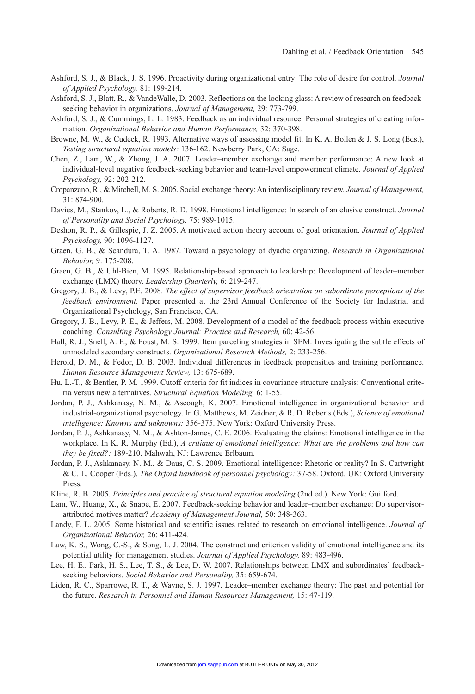- Ashford, S. J., & Black, J. S. 1996. Proactivity during organizational entry: The role of desire for control. *Journal of Applied Psychology,* 81: 199-214.
- Ashford, S. J., Blatt, R., & VandeWalle, D. 2003. Reflections on the looking glass: A review of research on feedbackseeking behavior in organizations. *Journal of Management,* 29: 773-799.
- Ashford, S. J., & Cummings, L. L. 1983. Feedback as an individual resource: Personal strategies of creating information. *Organizational Behavior and Human Performance,* 32: 370-398.
- Browne, M. W., & Cudeck, R. 1993. Alternative ways of assessing model fit. In K. A. Bollen & J. S. Long (Eds.), *Testing structural equation models:* 136-162. Newberry Park, CA: Sage.
- Chen, Z., Lam, W., & Zhong, J. A. 2007. Leader–member exchange and member performance: A new look at individual-level negative feedback-seeking behavior and team-level empowerment climate. *Journal of Applied Psychology,* 92: 202-212.
- Cropanzano, R., & Mitchell, M. S. 2005. Social exchange theory: An interdisciplinary review. *Journal of Management,* 31: 874-900.
- Davies, M., Stankov, L., & Roberts, R. D. 1998. Emotional intelligence: In search of an elusive construct. *Journal of Personality and Social Psychology,* 75: 989-1015.
- Deshon, R. P., & Gillespie, J. Z. 2005. A motivated action theory account of goal orientation. *Journal of Applied Psychology,* 90: 1096-1127.
- Graen, G. B., & Scandura, T. A. 1987. Toward a psychology of dyadic organizing. *Research in Organizational Behavior,* 9: 175-208.
- Graen, G. B., & Uhl-Bien, M. 1995. Relationship-based approach to leadership: Development of leader–member exchange (LMX) theory. *Leadership Quarterly,* 6: 219-247.
- Gregory, J. B., & Levy, P.E. 2008. *The effect of supervisor feedback orientation on subordinate perceptions of the feedback environment*. Paper presented at the 23rd Annual Conference of the Society for Industrial and Organizational Psychology, San Francisco, CA.
- Gregory, J. B., Levy, P. E., & Jeffers, M. 2008. Development of a model of the feedback process within executive coaching. *Consulting Psychology Journal: Practice and Research,* 60: 42-56.
- Hall, R. J., Snell, A. F., & Foust, M. S. 1999. Item parceling strategies in SEM: Investigating the subtle effects of unmodeled secondary constructs. *Organizational Research Methods,* 2: 233-256.
- Herold, D. M., & Fedor, D. B. 2003. Individual differences in feedback propensities and training performance. *Human Resource Management Review,* 13: 675-689.
- Hu, L.-T., & Bentler, P. M. 1999. Cutoff criteria for fit indices in covariance structure analysis: Conventional criteria versus new alternatives. *Structural Equation Modeling,* 6: 1-55.
- Jordan, P. J., Ashkanasy, N. M., & Ascough, K. 2007. Emotional intelligence in organizational behavior and industrial-organizational psychology. In G. Matthews, M. Zeidner, & R. D. Roberts (Eds.), *Science of emotional intelligence: Knowns and unknowns:* 356-375. New York: Oxford University Press.
- Jordan, P. J., Ashkanasy, N. M., & Ashton-James, C. E. 2006. Evaluating the claims: Emotional intelligence in the workplace. In K. R. Murphy (Ed.), *A critique of emotional intelligence: What are the problems and how can they be fixed?:* 189-210. Mahwah, NJ: Lawrence Erlbaum.
- Jordan, P. J., Ashkanasy, N. M., & Daus, C. S. 2009. Emotional intelligence: Rhetoric or reality? In S. Cartwright & C. L. Cooper (Eds.), *The Oxford handbook of personnel psychology:* 37-58. Oxford, UK: Oxford University Press.
- Kline, R. B. 2005. *Principles and practice of structural equation modeling* (2nd ed.). New York: Guilford.
- Lam, W., Huang, X., & Snape, E. 2007. Feedback-seeking behavior and leader–member exchange: Do supervisorattributed motives matter? *Academy of Management Journal,* 50: 348-363.
- Landy, F. L. 2005. Some historical and scientific issues related to research on emotional intelligence. *Journal of Organizational Behavior,* 26: 411-424.
- Law, K. S., Wong, C.-S., & Song, L. J. 2004. The construct and criterion validity of emotional intelligence and its potential utility for management studies. *Journal of Applied Psychology,* 89: 483-496.
- Lee, H. E., Park, H. S., Lee, T. S., & Lee, D. W. 2007. Relationships between LMX and subordinates' feedbackseeking behaviors. *Social Behavior and Personality,* 35: 659-674.
- Liden, R. C., Sparrowe, R. T., & Wayne, S. J. 1997. Leader–member exchange theory: The past and potential for the future. *Research in Personnel and Human Resources Management,* 15: 47-119.